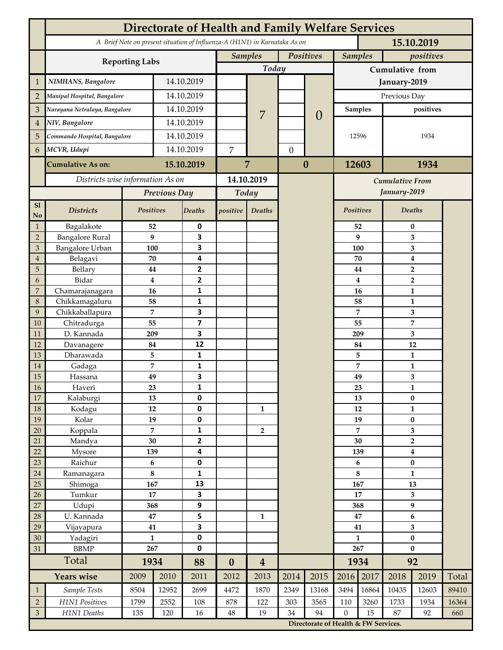|                | <b>Directorate of Health and Family Welfare Services</b>                                 |                |            |                         |                  |                  |           |                                        |                 |                |                         |                |       |  |
|----------------|------------------------------------------------------------------------------------------|----------------|------------|-------------------------|------------------|------------------|-----------|----------------------------------------|-----------------|----------------|-------------------------|----------------|-------|--|
|                | A Brief Note on present situation of Influenza-A (H1N1) in Karnataka As on<br>15.10.2019 |                |            |                         |                  |                  |           |                                        |                 |                |                         |                |       |  |
|                | <b>Reporting Labs</b>                                                                    |                |            |                         |                  | <b>Samples</b>   | Positives |                                        |                 | <b>Samples</b> |                         | positives      |       |  |
|                |                                                                                          |                |            |                         |                  | Today            |           |                                        | Cumulative from |                |                         |                |       |  |
| $\mathbf{1}$   | NIMHANS, Bangalore                                                                       | 14.10.2019     |            |                         |                  |                  |           |                                        | January-2019    |                |                         |                |       |  |
| $\overline{2}$ | Manipal Hospital, Bangalore                                                              |                |            | 14.10.2019              |                  |                  |           |                                        | Previous Day    |                |                         |                |       |  |
| 3              | Narayana Netralaya, Bangalore                                                            |                |            | 14.10.2019              |                  |                  |           |                                        | <b>Samples</b>  |                | positives               |                |       |  |
| $\overline{4}$ | NIV, Bangalore                                                                           |                | 14.10.2019 |                         |                  | 7                |           | $\left( \right)$                       | 12596           |                | 1934                    |                |       |  |
| 5              | Commando Hospital, Bangalore                                                             |                | 14.10.2019 |                         |                  |                  |           |                                        |                 |                |                         |                |       |  |
| 6              | MCVR, Udupi                                                                              |                | 14.10.2019 |                         | $\overline{7}$   |                  |           | $\mathbf{0}$                           |                 |                |                         |                |       |  |
|                | <b>Cumulative As on:</b>                                                                 |                |            | 15.10.2019              |                  | 7                | $\bf{0}$  |                                        | 12603           |                | 1934                    |                |       |  |
|                | Districts wise information As on                                                         |                |            | 14.10.2019              |                  |                  |           |                                        |                 |                |                         |                |       |  |
|                |                                                                                          | Previous Day   |            | Today                   |                  |                  |           | <b>Cumulative From</b><br>January-2019 |                 |                |                         |                |       |  |
| S1             |                                                                                          |                |            |                         |                  |                  |           |                                        |                 |                |                         |                |       |  |
| No             | <b>Districts</b>                                                                         | Positives      |            | Deaths                  | positive         | Deaths           |           |                                        | Positives       |                |                         | Deaths         |       |  |
| $\mathbf{1}$   | Bagalakote                                                                               | 52             |            | 0                       |                  |                  |           |                                        |                 | 52             | $\bf{0}$                |                |       |  |
| $\overline{2}$ | <b>Bangalore Rural</b>                                                                   | 9              |            | 3                       |                  |                  |           |                                        |                 | 9              | 3                       |                |       |  |
| 3              | Bangalore Urban                                                                          | 100            |            | 3                       |                  |                  |           |                                        | 100             |                | 3                       |                |       |  |
| $\overline{4}$ | Belagavi                                                                                 | 70             |            | 4                       |                  |                  |           |                                        |                 | 70             | $\boldsymbol{4}$        |                |       |  |
| 5              | Bellary                                                                                  | 44             |            | 2                       |                  |                  |           |                                        |                 | 44             |                         | $\overline{2}$ |       |  |
| 6              | Bidar                                                                                    | $\bf{4}$       |            | $\mathbf{2}$            |                  |                  |           |                                        |                 | 4              |                         | $\overline{2}$ |       |  |
| 7              | Chamarajanagara                                                                          | 16             |            | 1                       |                  |                  |           |                                        |                 | 16             |                         | 1              |       |  |
| 8<br>9         | Chikkamagaluru<br>Chikkaballapura                                                        | 58<br>7        |            | 1<br>3                  |                  |                  |           |                                        |                 | 58<br>7        |                         | 1<br>3         |       |  |
| 10             | Chitradurga                                                                              | 55             |            | $\overline{\mathbf{z}}$ |                  |                  |           |                                        |                 | 55             |                         | 7              |       |  |
| 11             | D. Kannada                                                                               | 209            |            | 3                       |                  |                  |           |                                        |                 | 209            |                         | 3              |       |  |
| 12             | Davanagere                                                                               | 84             |            | 12                      |                  |                  |           |                                        |                 | 84             |                         | 12             |       |  |
| 13             | Dharawada                                                                                | 5              |            | $\mathbf{1}$            |                  |                  |           |                                        |                 | 5              |                         | $\mathbf{1}$   |       |  |
| 14             | Gadaga                                                                                   | 7              |            | 1                       |                  |                  |           |                                        | 7               |                | 1                       |                |       |  |
| 15             | Hassana                                                                                  | 49             |            | 3                       |                  |                  |           |                                        | 49<br>23        |                |                         | 3              |       |  |
| <b>16</b>      | Haveri                                                                                   | 23             |            | 1                       |                  |                  |           |                                        |                 |                |                         | 1              |       |  |
| 17             | Kalaburgi                                                                                | 13             |            | 0                       |                  |                  |           |                                        |                 | 13             | $\pmb{0}$               |                |       |  |
| 18             | Kodagu                                                                                   | 12             |            | $\pmb{0}$               |                  | $\mathbf{1}$     |           |                                        |                 | 12             |                         | $\mathbf{1}$   |       |  |
| 19             | Kolar                                                                                    | 19             |            | 0                       |                  |                  |           |                                        |                 | 19             | $\pmb{0}$               |                |       |  |
| 20             | Koppala                                                                                  | $\overline{7}$ |            | 1                       |                  | $\overline{2}$   |           |                                        | 7               |                | 3                       |                |       |  |
| 21             | Mandya                                                                                   |                | $30\,$     |                         |                  |                  |           |                                        | 30              |                | $\mathbf 2$             |                |       |  |
| 22             | Mysore                                                                                   | 139            |            | 4                       |                  |                  |           |                                        | 139             |                | $\boldsymbol{4}$        |                |       |  |
| 23             | Raichur                                                                                  | $\bf 6$        |            | $\pmb{0}$               |                  |                  |           |                                        | 6               |                | $\pmb{0}$               |                |       |  |
| $24\,$         | Ramanagara                                                                               | 8<br>167       |            | 1<br>13                 |                  |                  |           |                                        | 8<br>167        |                | $\mathbf{1}$            |                |       |  |
| 25<br>26       | Shimoga<br>Tumkur                                                                        | 17             |            | 3                       |                  |                  |           |                                        | 17              |                | 13<br>3                 |                |       |  |
| 27             | Udupi                                                                                    | 368            |            | 9                       |                  |                  |           |                                        | 368             |                | $\boldsymbol{9}$        |                |       |  |
| 28             | U. Kannada                                                                               | $\bf 47$       |            | 5                       |                  | 1                |           |                                        | 47              |                | $\bf 6$                 |                |       |  |
| 29             | Vijayapura                                                                               | 41             |            | 3                       |                  |                  |           |                                        | 41              |                | $\overline{\mathbf{3}}$ |                |       |  |
| 30             | Yadagiri                                                                                 | $\mathbf{1}$   |            | 0                       |                  |                  |           |                                        | $\mathbf{1}$    |                | $\pmb{0}$               |                |       |  |
| 31             | <b>BBMP</b>                                                                              | 267            |            | 0                       |                  |                  |           |                                        | 267             |                | $\bf{0}$                |                |       |  |
|                | Total                                                                                    | 1934           |            | 88                      | $\boldsymbol{0}$ | $\boldsymbol{4}$ |           |                                        | 1934            |                | 92                      |                |       |  |
|                | <b>Years wise</b>                                                                        | 2009           | 2010       | 2011                    | 2012             | 2013             | 2014      | 2015                                   | 2016            | 2017           | 2018                    | 2019           | Total |  |
| $\mathbf{1}$   | Sample Tests                                                                             | 8504           | 12952      | 2699                    | 4472             | 1870             | 2349      | 13168                                  | 3494            | 16864          | 10435                   | 12603          | 89410 |  |
| $\overline{2}$ | H1N1 Positives                                                                           | 1799           | 2552       | 108                     | 878              | 122              | 303       | 3565                                   | 110             | 3260           | 1733                    | 1934           | 16364 |  |
| $\mathfrak{Z}$ | H1N1 Deaths                                                                              | 135            | 120        | 16                      | $48\,$           | 19               | 34        | 94                                     | $\mathbf{0}$    | 15             | 87                      | 92             | 660   |  |
|                |                                                                                          |                |            |                         |                  |                  |           | Directorate of Health & FW Services.   |                 |                |                         |                |       |  |